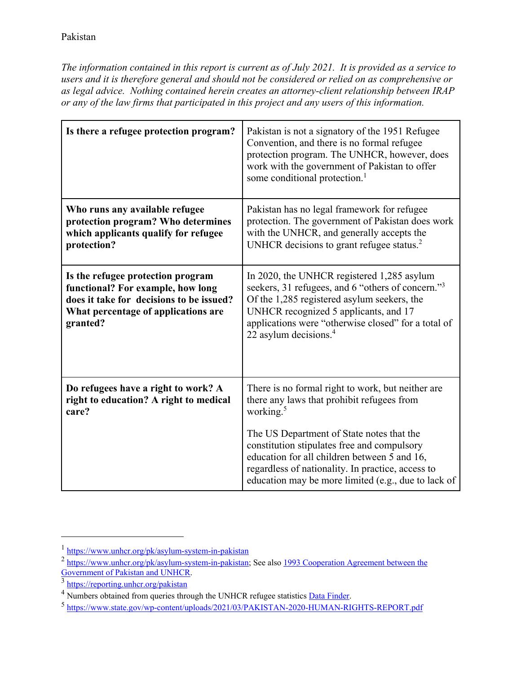*The information contained in this report is current as of July 2021. It is provided as a service to users and it is therefore general and should not be considered or relied on as comprehensive or as legal advice. Nothing contained herein creates an attorney-client relationship between IRAP or any of the law firms that participated in this project and any users of this information.* 

| Is there a refugee protection program?                                                                                                                                | Pakistan is not a signatory of the 1951 Refugee<br>Convention, and there is no formal refugee<br>protection program. The UNHCR, however, does<br>work with the government of Pakistan to offer<br>some conditional protection. <sup>1</sup>                                                     |
|-----------------------------------------------------------------------------------------------------------------------------------------------------------------------|-------------------------------------------------------------------------------------------------------------------------------------------------------------------------------------------------------------------------------------------------------------------------------------------------|
| Who runs any available refugee<br>protection program? Who determines<br>which applicants qualify for refugee<br>protection?                                           | Pakistan has no legal framework for refugee<br>protection. The government of Pakistan does work<br>with the UNHCR, and generally accepts the<br>UNHCR decisions to grant refugee status. <sup>2</sup>                                                                                           |
| Is the refugee protection program<br>functional? For example, how long<br>does it take for decisions to be issued?<br>What percentage of applications are<br>granted? | In 2020, the UNHCR registered 1,285 asylum<br>seekers, 31 refugees, and 6 "others of concern." <sup>3</sup><br>Of the 1,285 registered asylum seekers, the<br>UNHCR recognized 5 applicants, and 17<br>applications were "otherwise closed" for a total of<br>22 asylum decisions. <sup>4</sup> |
| Do refugees have a right to work? A<br>right to education? A right to medical<br>care?                                                                                | There is no formal right to work, but neither are<br>there any laws that prohibit refugees from<br>working. <sup>5</sup>                                                                                                                                                                        |
|                                                                                                                                                                       | The US Department of State notes that the<br>constitution stipulates free and compulsory<br>education for all children between 5 and 16,<br>regardless of nationality. In practice, access to<br>education may be more limited (e.g., due to lack of                                            |

j

<sup>1</sup> https://www.unhcr.org/pk/asylum-system-in-pakistan

<sup>&</sup>lt;sup>2</sup> https://www.unhcr.org/pk/asylum-system-in-pakistan; See also <u>1993 Cooperation Agreement between the</u><br>Government of Pakistan and UNHCR.

 $\frac{3 \text{ https://reporting.unher.org/pakistan}}{8 \text{ Numbers obtained from queries through the UNHCR refuse statistics DataFinder}}$ 

<sup>&</sup>lt;sup>5</sup> https://www.state.gov/wp-content/uploads/2021/03/PAKISTAN-2020-HUMAN-RIGHTS-REPORT.pdf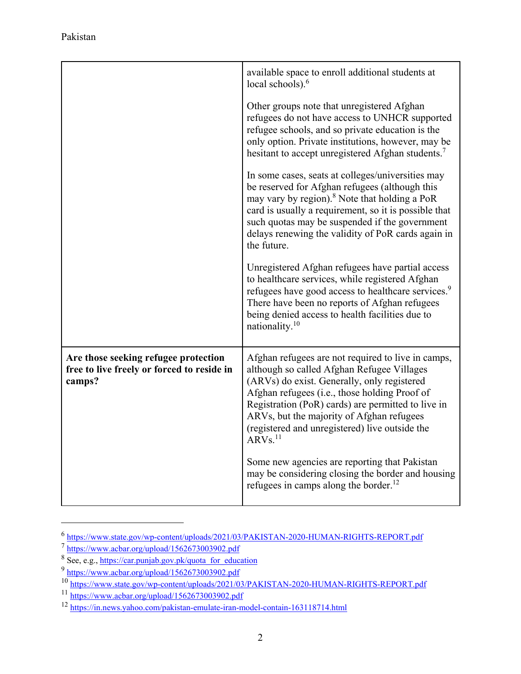|                                                                                              | available space to enroll additional students at<br>local schools). $6$                                                                                                                                                                                                                                                                                                      |
|----------------------------------------------------------------------------------------------|------------------------------------------------------------------------------------------------------------------------------------------------------------------------------------------------------------------------------------------------------------------------------------------------------------------------------------------------------------------------------|
|                                                                                              | Other groups note that unregistered Afghan<br>refugees do not have access to UNHCR supported<br>refugee schools, and so private education is the<br>only option. Private institutions, however, may be<br>hesitant to accept unregistered Afghan students. <sup>7</sup>                                                                                                      |
|                                                                                              | In some cases, seats at colleges/universities may<br>be reserved for Afghan refugees (although this<br>may vary by region). <sup>8</sup> Note that holding a PoR<br>card is usually a requirement, so it is possible that<br>such quotas may be suspended if the government<br>delays renewing the validity of PoR cards again in<br>the future.                             |
|                                                                                              | Unregistered Afghan refugees have partial access<br>to healthcare services, while registered Afghan<br>refugees have good access to healthcare services. <sup>9</sup><br>There have been no reports of Afghan refugees<br>being denied access to health facilities due to<br>nationality. $10$                                                                               |
| Are those seeking refugee protection<br>free to live freely or forced to reside in<br>camps? | Afghan refugees are not required to live in camps,<br>although so called Afghan Refugee Villages<br>(ARVs) do exist. Generally, only registered<br>Afghan refugees (i.e., those holding Proof of<br>Registration (PoR) cards) are permitted to live in<br>ARVs, but the majority of Afghan refugees<br>(registered and unregistered) live outside the<br>ARVs. <sup>11</sup> |
|                                                                                              | Some new agencies are reporting that Pakistan<br>may be considering closing the border and housing<br>refugees in camps along the border. $^{12}$                                                                                                                                                                                                                            |

 $\frac{6 \text{ https://www.state.gov/wp-content/uploads/2021/03/PAKISTAN-2020-HUMAN-RIGHTS-REPORT.pdf}}{5 \text{ https://www.acbar.org/upload/1562673003902.pdf}}$ <br>  $\frac{8 \text{ See, e.g., <https://car.punjab.gov.ph/quota> for education}}{5 \text{ See, e.g., <https://car.punjab.gov.ph/quota> for education}}$ 

 $\overline{a}$ 

<sup>9&</sup>lt;br>https://www.acbar.org/upload/1562673003902.pdf<br>10<br>https://www.state.gov/wp-content/uploads/2021/03/PAKISTAN-2020-HUMAN-RIGHTS-REPORT.pdf<br>11<br>https://www.acbar.org/upload/1562673003902.pdf<br>12<br>https://in.news.yahoo.com/paki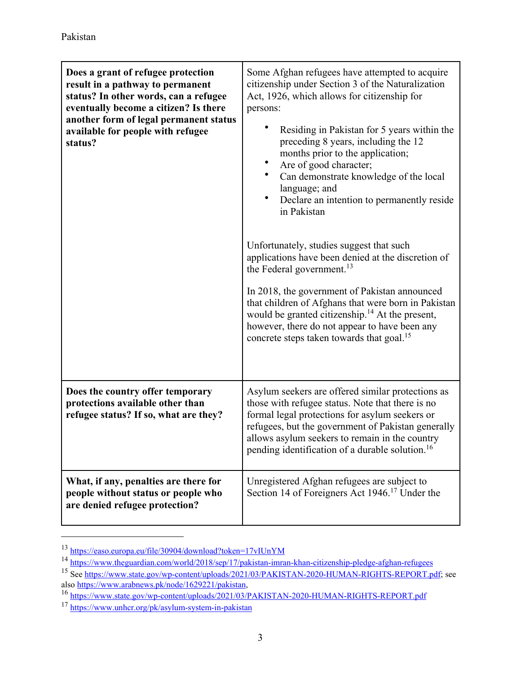| Does a grant of refugee protection<br>result in a pathway to permanent<br>status? In other words, can a refugee<br>eventually become a citizen? Is there<br>another form of legal permanent status<br>available for people with refugee<br>status? | Some Afghan refugees have attempted to acquire<br>citizenship under Section 3 of the Naturalization<br>Act, 1926, which allows for citizenship for<br>persons:<br>Residing in Pakistan for 5 years within the<br>preceding 8 years, including the 12<br>months prior to the application;<br>Are of good character;<br>Can demonstrate knowledge of the local<br>language; and<br>٠<br>Declare an intention to permanently reside<br>in Pakistan<br>Unfortunately, studies suggest that such |
|----------------------------------------------------------------------------------------------------------------------------------------------------------------------------------------------------------------------------------------------------|---------------------------------------------------------------------------------------------------------------------------------------------------------------------------------------------------------------------------------------------------------------------------------------------------------------------------------------------------------------------------------------------------------------------------------------------------------------------------------------------|
|                                                                                                                                                                                                                                                    | applications have been denied at the discretion of<br>the Federal government. <sup>13</sup>                                                                                                                                                                                                                                                                                                                                                                                                 |
|                                                                                                                                                                                                                                                    | In 2018, the government of Pakistan announced<br>that children of Afghans that were born in Pakistan<br>would be granted citizenship. <sup>14</sup> At the present,<br>however, there do not appear to have been any<br>concrete steps taken towards that goal. <sup>15</sup>                                                                                                                                                                                                               |
| Does the country offer temporary<br>protections available other than<br>refugee status? If so, what are they?                                                                                                                                      | Asylum seekers are offered similar protections as<br>those with refugee status. Note that there is no<br>formal legal protections for asylum seekers or<br>refugees, but the government of Pakistan generally<br>allows asylum seekers to remain in the country<br>pending identification of a durable solution. <sup>16</sup>                                                                                                                                                              |
| What, if any, penalties are there for<br>people without status or people who<br>are denied refugee protection?                                                                                                                                     | Unregistered Afghan refugees are subject to<br>Section 14 of Foreigners Act 1946. <sup>17</sup> Under the                                                                                                                                                                                                                                                                                                                                                                                   |

j

 $\frac{13}{110} \frac{https://easo.europa.eu/file/30904/download?token=17vIUnYM}{https://www.theguardian.com/world/2018/sep/17/pakistan-imran-khan-citizenship-pledge-afghan-refugees}$ <br>  $\frac{14}{15} \frac{https://www.theguardian.com/world/2018/sep/17/pakistan-imran-khan-citizenship-pledge-afghan-refugees}{See \frac{https://www.state.gov/wp-content/uploads/2021/03/PAKISTAN-2020-HUMAN-RIGHTS-REPORT.pdf}{see \frac{https://www.arabnews.pk/node/1629221/pakistan}}$ 

<sup>&</sup>lt;sup>16</sup> https://www.state.gov/wp-content/uploads/2021/03/PAKISTAN-2020-HUMAN-RIGHTS-REPORT.pdf <sup>17</sup> https://www.unhcr.org/pk/asylum-system-in-pakistan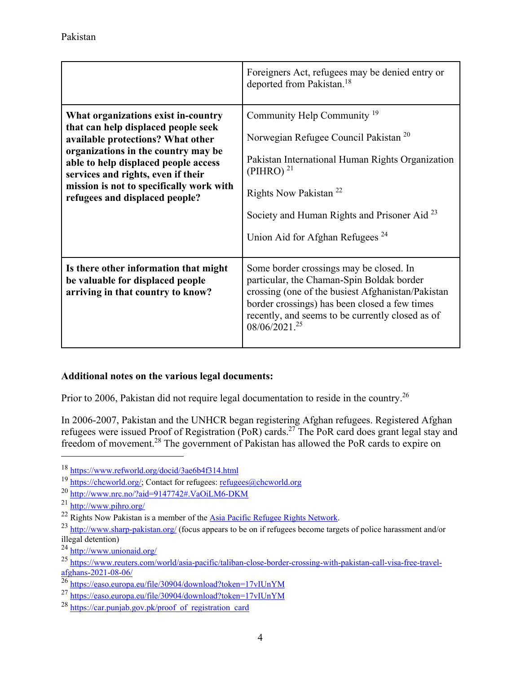|                                                                                                                                                                                                                                                                                                                    | Foreigners Act, refugees may be denied entry or<br>deported from Pakistan. <sup>18</sup>                                                                                                                                                                                                                         |
|--------------------------------------------------------------------------------------------------------------------------------------------------------------------------------------------------------------------------------------------------------------------------------------------------------------------|------------------------------------------------------------------------------------------------------------------------------------------------------------------------------------------------------------------------------------------------------------------------------------------------------------------|
| What organizations exist in-country<br>that can help displaced people seek<br>available protections? What other<br>organizations in the country may be<br>able to help displaced people access<br>services and rights, even if their<br>mission is not to specifically work with<br>refugees and displaced people? | Community Help Community <sup>19</sup><br>Norwegian Refugee Council Pakistan <sup>20</sup><br>Pakistan International Human Rights Organization<br>(PIHRO) $^{21}$<br>Rights Now Pakistan <sup>22</sup><br>Society and Human Rights and Prisoner Aid <sup>23</sup><br>Union Aid for Afghan Refugees <sup>24</sup> |
| Is there other information that might<br>be valuable for displaced people<br>arriving in that country to know?                                                                                                                                                                                                     | Some border crossings may be closed. In<br>particular, the Chaman-Spin Boldak border<br>crossing (one of the busiest Afghanistan/Pakistan<br>border crossings) has been closed a few times<br>recently, and seems to be currently closed as of<br>$08/06/2021.^{25}$                                             |

## **Additional notes on the various legal documents:**

Prior to 2006, Pakistan did not require legal documentation to reside in the country.<sup>26</sup>

In 2006-2007, Pakistan and the UNHCR began registering Afghan refugees. Registered Afghan refugees were issued Proof of Registration (PoR) cards.27 The PoR card does grant legal stay and freedom of movement.28 The government of Pakistan has allowed the PoR cards to expire on

l

<sup>&</sup>lt;sup>18</sup> https://www.refworld.org/docid/3ae6b4f314.html<br>
<sup>19</sup> https://chcworld.org/; Contact for refugees: <u>refugees@chcworld.org</u><br>
<sup>20</sup> http://www.nrc.no/?aid=9147742#.VaOiLM6-DKM<br>
<sup>21</sup> http://www.pihro.org/<br>
<sup>22</sup> Rights Now illegal detention)<br> $^{24}$  http://www.unionaid.org/

<sup>25</sup> https://www.reuters.com/world/asia-pacific/taliban-close-border-crossing-with-pakistan-call-visa-free-travel-<br>afghans-2021-08-06/

 $^{26}$ https://easo.europa.eu/file/30904/download?token=17vIUnYM

<sup>27</sup> https://easo.europa.eu/file/30904/download?token=17vIUnYM

 $^{28}$  https://car.punjab.gov.pk/proof\_of\_registration\_card